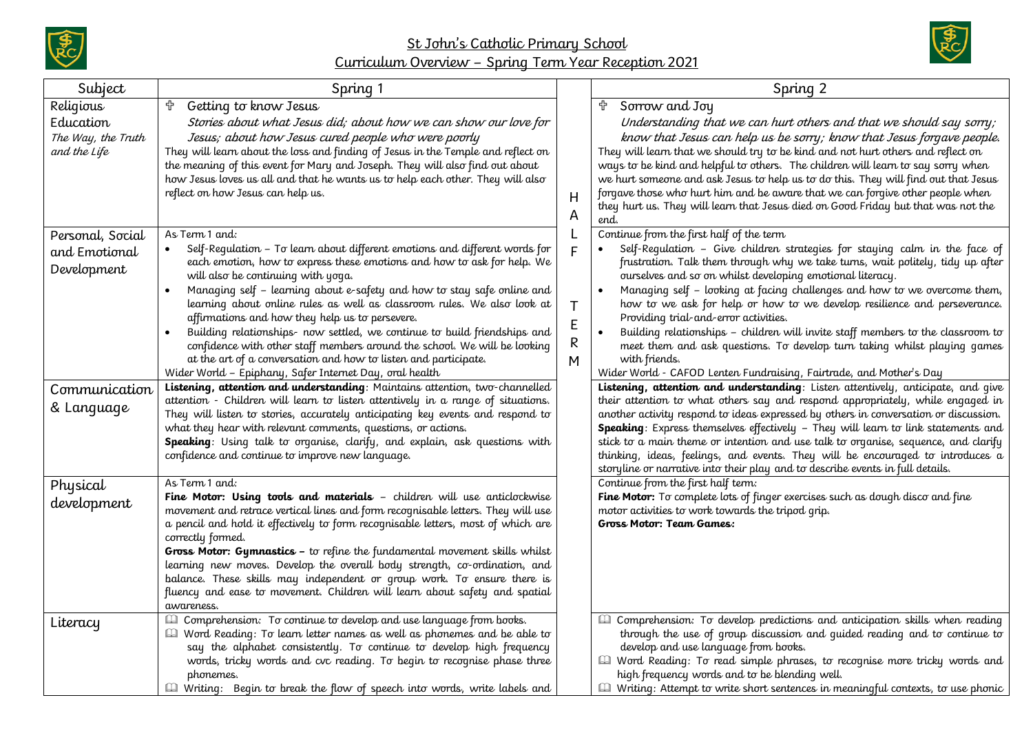

St John's Catholic Primary School Curriculum Overview – Spring Term Year Reception 2021



| Subject                                                      | Spring 1                                                                                                                                                                                                                                                                                                                                                                                                                                                                                                                                                                                                                                                                                                        |                             | Spring 2                                                                                                                                                                                                                                                                                                                                                                                                                                                                                                                                                                                                                                                                                                                       |
|--------------------------------------------------------------|-----------------------------------------------------------------------------------------------------------------------------------------------------------------------------------------------------------------------------------------------------------------------------------------------------------------------------------------------------------------------------------------------------------------------------------------------------------------------------------------------------------------------------------------------------------------------------------------------------------------------------------------------------------------------------------------------------------------|-----------------------------|--------------------------------------------------------------------------------------------------------------------------------------------------------------------------------------------------------------------------------------------------------------------------------------------------------------------------------------------------------------------------------------------------------------------------------------------------------------------------------------------------------------------------------------------------------------------------------------------------------------------------------------------------------------------------------------------------------------------------------|
| Religious<br>Education<br>The Way, the Truth<br>and the Life | <sup>t</sup> Getting to know Jesus<br>Stories about what Jesus did; about how we can show our love for<br>Jesus; about how Jesus cured people who were poorly<br>They will learn about the loss and finding of Jesus in the Temple and reflect on<br>the meaning of this event for Mary and Joseph. They will also find out about<br>how Jesus loves us all and that he wants us to help each other. They will also<br>reflect on how Jesus can help us.                                                                                                                                                                                                                                                        | H<br>A                      | † Sorrow and Joy<br>Understanding that we can hurt others and that we should say sorry;<br>know that Jesus can help us be sorry; know that Jesus forgave people.<br>They will learn that we should try to be kind and not hurt others and reflect on<br>ways to be kind and helpful to others. The children will learn to say sorry when<br>we hurt someone and ask Jesus to help us to do this. They will find out that Jesus<br>forgave those who hurt him and be aware that we can forgive other people when<br>they hurt us. They will learn that Jesus died on Good Friday but that was not the<br>end.                                                                                                                   |
| Personal, Social<br>and Emotional<br>Development             | As Term 1 and:<br>Self-Regulation - To learn about different emotions and different words for<br>each emotion, how to express these emotions and how to ask for help. We<br>will also be continuing with yoga.<br>Managing self - learning about e-safety and how to stay safe online and<br>learning about online rules as well as classroom rules. We also look at<br>affirmations and how they help us to persevere.<br>Building relationships- now settled, we continue to build friendships and<br>confidence with other staff members around the school. We will be looking<br>at the art of a conversation and how to listen and participate.<br>Wider World - Epiphany, Safer Internet Day, oral health | $\mathsf{T}$<br>E<br>R<br>М | Continue from the first half of the term<br>Self-Requlation - Give children strategies for staying calm in the face of<br>frustration. Talk them through why we take turns, wait politely, tidy up after<br>ourselves and so on whilst developing emotional literacy.<br>Managing self - looking at facing challenges and how to we overcome them,<br>how to we ask for help or how to we develop resilience and perseverance.<br>Providing trial-and-error activities.<br>Building relationships - children will invite staff members to the classroom to<br>meet them and ask questions. To develop turn taking whilst playing games<br>with friends.<br>Wider World - CAFOD Lenten Fundraising, Fairtrade, and Mother's Day |
| Communication<br>& Language                                  | Listening, attention and understanding: Maintains attention, two-channelled<br>attention - Children will learn to listen attentively in a range of situations.<br>They will listen to stories, accurately anticipating key events and respond to<br>what they hear with relevant comments, questions, or actions.<br>Speaking: Using talk to organise, clarify, and explain, ask questions with<br>confidence and continue to improve new language.                                                                                                                                                                                                                                                             |                             | Listening, attention and understanding: Listen attentively, anticipate, and give<br>their attention to what others say and respond appropriately, while engaged in<br>another activity respond to ideas expressed by others in conversation or discussion.<br><b>Speaking</b> : Express themselves effectively - They will learn to link statements and<br>stick to a main theme or intention and use talk to organise, sequence, and clarify<br>thinking, ideas, feelings, and events. They will be encouraged to introduces a<br>storyline or narrative into their play and to describe events in full details.                                                                                                              |
| Physical<br>development                                      | As Term 1 and:<br>Fine Motor: Using tools and materials - children will use anticlockwise<br>movement and retrace vertical lines and form recognisable letters. They will use<br>a pencil and hold it effectively to form recognisable letters, most of which are<br>correctly formed.<br>Gross Motor: Gymnastics - to refine the fundamental movement skills whilst<br>learning new moves. Develop the overall body strength, co-ordination, and<br>balance. These skills may independent or group work. To ensure there is<br>fluency and ease to movement. Children will learn about safety and spatial<br>awareness.                                                                                        |                             | Continue from the first half term:<br>Fine Motor: To complete lots of finger exercises such as dough disco and fine<br>motor activities to work towards the tripod grip.<br>Gross Motor: Team Games:                                                                                                                                                                                                                                                                                                                                                                                                                                                                                                                           |
| Literacy                                                     | <b>Quality Comprehension:</b> To continue to develop and use language from books.<br>Ill Word Reading: To learn letter names as well as phonemes and be able to<br>say the alphabet consistently. To continue to develop high frequency<br>words, tricky words and cvc reading. To begin to recognise phase three<br>phonemes.<br>Ill Writing: Begin to break the flow of speech into words, write labels and                                                                                                                                                                                                                                                                                                   |                             | <b>Ell</b> Comprehension: To develop predictions and anticipation skills when reading<br>through the use of group discussion and guided reading and to continue to<br>develop and use language from books.<br>Word Reading: To read simple phrases, to recognise more tricky words and<br>high frequency words and to be blending well.<br><b>E</b> Writing: Attempt to write short sentences in meaningful contexts, to use phonic                                                                                                                                                                                                                                                                                            |